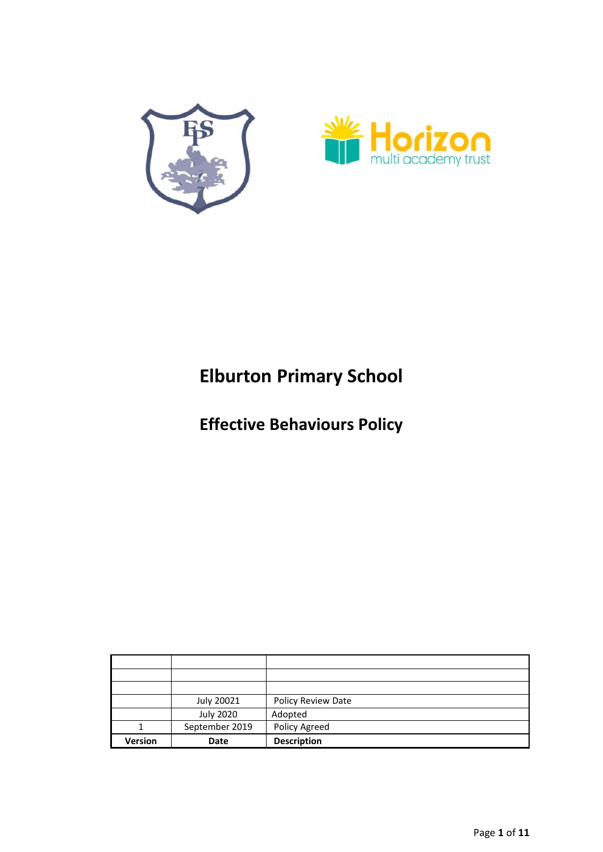



# **Elburton Primary School**

**Effective Behaviours Policy**

| Version | Date             | <b>Description</b> |
|---------|------------------|--------------------|
|         | September 2019   | Policy Agreed      |
|         | <b>July 2020</b> | Adopted            |
|         | July 20021       | Policy Review Date |
|         |                  |                    |
|         |                  |                    |
|         |                  |                    |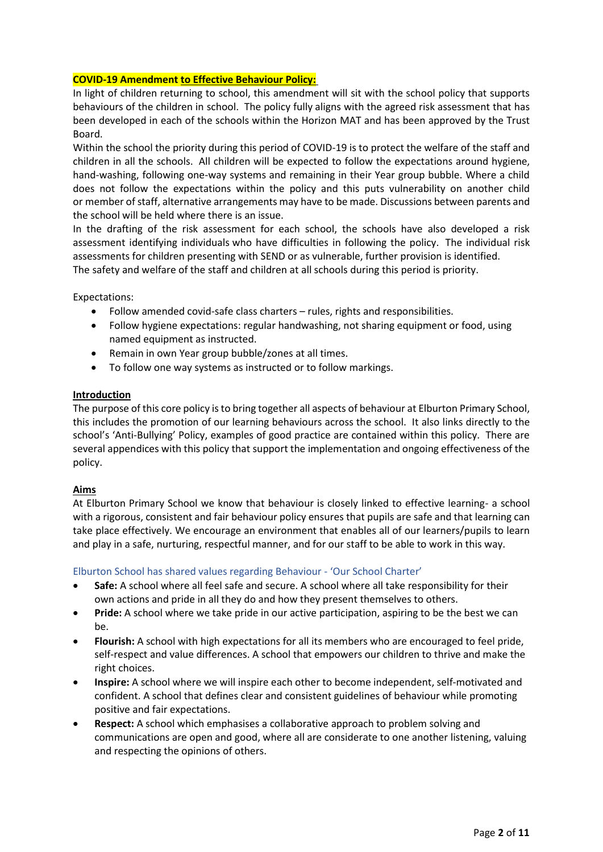## **COVID-19 Amendment to Effective Behaviour Policy:**

In light of children returning to school, this amendment will sit with the school policy that supports behaviours of the children in school. The policy fully aligns with the agreed risk assessment that has been developed in each of the schools within the Horizon MAT and has been approved by the Trust Board.

Within the school the priority during this period of COVID-19 is to protect the welfare of the staff and children in all the schools. All children will be expected to follow the expectations around hygiene, hand-washing, following one-way systems and remaining in their Year group bubble. Where a child does not follow the expectations within the policy and this puts vulnerability on another child or member of staff, alternative arrangements may have to be made. Discussions between parents and the school will be held where there is an issue.

In the drafting of the risk assessment for each school, the schools have also developed a risk assessment identifying individuals who have difficulties in following the policy. The individual risk assessments for children presenting with SEND or as vulnerable, further provision is identified. The safety and welfare of the staff and children at all schools during this period is priority.

Expectations:

- Follow amended covid-safe class charters rules, rights and responsibilities.
- Follow hygiene expectations: regular handwashing, not sharing equipment or food, using named equipment as instructed.
- Remain in own Year group bubble/zones at all times.
- To follow one way systems as instructed or to follow markings.

## **Introduction**

The purpose of this core policy is to bring together all aspects of behaviour at Elburton Primary School, this includes the promotion of our learning behaviours across the school. It also links directly to the school's 'Anti-Bullying' Policy, examples of good practice are contained within this policy. There are several appendices with this policy that support the implementation and ongoing effectiveness of the policy.

## **Aims**

At Elburton Primary School we know that behaviour is closely linked to effective learning- a school with a rigorous, consistent and fair behaviour policy ensures that pupils are safe and that learning can take place effectively. We encourage an environment that enables all of our learners/pupils to learn and play in a safe, nurturing, respectful manner, and for our staff to be able to work in this way.

## Elburton School has shared values regarding Behaviour - 'Our School Charter'

- **Safe:** A school where all feel safe and secure. A school where all take responsibility for their own actions and pride in all they do and how they present themselves to others.
- **Pride:** A school where we take pride in our active participation, aspiring to be the best we can be.
- **Flourish:** A school with high expectations for all its members who are encouraged to feel pride, self-respect and value differences. A school that empowers our children to thrive and make the right choices.
- **Inspire:** A school where we will inspire each other to become independent, self-motivated and confident. A school that defines clear and consistent guidelines of behaviour while promoting positive and fair expectations.
- **Respect:** A school which emphasises a collaborative approach to problem solving and communications are open and good, where all are considerate to one another listening, valuing and respecting the opinions of others.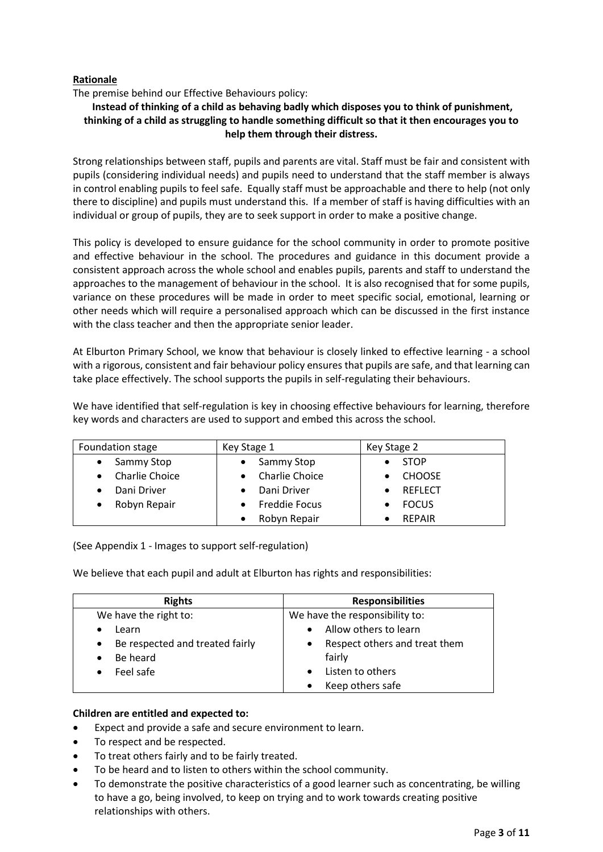# **Rationale**

The premise behind our Effective Behaviours policy:

# **Instead of thinking of a child as behaving badly which disposes you to think of punishment, thinking of a child as struggling to handle something difficult so that it then encourages you to help them through their distress.**

Strong relationships between staff, pupils and parents are vital. Staff must be fair and consistent with pupils (considering individual needs) and pupils need to understand that the staff member is always in control enabling pupils to feel safe. Equally staff must be approachable and there to help (not only there to discipline) and pupils must understand this. If a member of staff is having difficulties with an individual or group of pupils, they are to seek support in order to make a positive change.

This policy is developed to ensure guidance for the school community in order to promote positive and effective behaviour in the school. The procedures and guidance in this document provide a consistent approach across the whole school and enables pupils, parents and staff to understand the approaches to the management of behaviour in the school. It is also recognised that for some pupils, variance on these procedures will be made in order to meet specific social, emotional, learning or other needs which will require a personalised approach which can be discussed in the first instance with the class teacher and then the appropriate senior leader.

At Elburton Primary School, we know that behaviour is closely linked to effective learning - a school with a rigorous, consistent and fair behaviour policy ensures that pupils are safe, and that learning can take place effectively. The school supports the pupils in self-regulating their behaviours.

We have identified that self-regulation is key in choosing effective behaviours for learning, therefore key words and characters are used to support and embed this across the school.

| Foundation stage                   | Key Stage 1           | Key Stage 2    |
|------------------------------------|-----------------------|----------------|
| Sammy Stop<br>$\bullet$            | Sammy Stop            | <b>STOP</b>    |
| <b>Charlie Choice</b><br>$\bullet$ | <b>Charlie Choice</b> | <b>CHOOSE</b>  |
| Dani Driver<br>$\bullet$           | Dani Driver           | <b>REFLECT</b> |
| Robyn Repair<br>$\bullet$          | <b>Freddie Focus</b>  | <b>FOCUS</b>   |
|                                    | Robyn Repair          | <b>REPAIR</b>  |

(See Appendix 1 - Images to support self-regulation)

We believe that each pupil and adult at Elburton has rights and responsibilities:

| <b>Rights</b>                                | <b>Responsibilities</b>                    |
|----------------------------------------------|--------------------------------------------|
| We have the right to:                        | We have the responsibility to:             |
| Learn                                        | Allow others to learn                      |
| Be respected and treated fairly<br>$\bullet$ | Respect others and treat them<br>$\bullet$ |
| Be heard<br>$\bullet$                        | fairly                                     |
| Feel safe<br>$\bullet$                       | Listen to others                           |
|                                              | Keep others safe                           |

## **Children are entitled and expected to:**

- Expect and provide a safe and secure environment to learn.
- To respect and be respected.
- To treat others fairly and to be fairly treated.
- To be heard and to listen to others within the school community.
- To demonstrate the positive characteristics of a good learner such as concentrating, be willing to have a go, being involved, to keep on trying and to work towards creating positive relationships with others.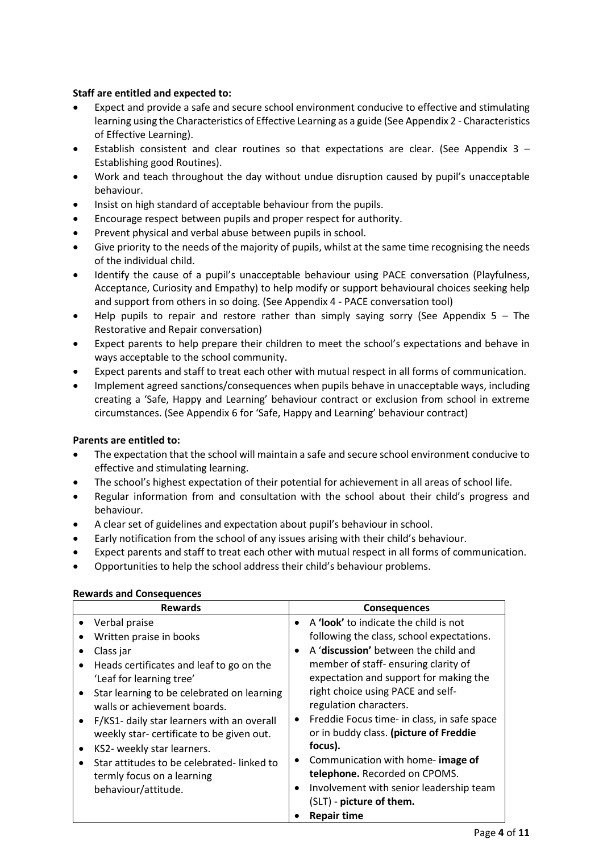# **Staff are entitled and expected to:**

- Expect and provide a safe and secure school environment conducive to effective and stimulating learning using the Characteristics of Effective Learning as a guide (See Appendix 2 - Characteristics of Effective Learning).
- Establish consistent and clear routines so that expectations are clear. (See Appendix  $3 -$ Establishing good Routines).
- Work and teach throughout the day without undue disruption caused by pupil's unacceptable behaviour.
- Insist on high standard of acceptable behaviour from the pupils.
- Encourage respect between pupils and proper respect for authority.
- Prevent physical and verbal abuse between pupils in school.
- Give priority to the needs of the majority of pupils, whilst at the same time recognising the needs of the individual child.
- Identify the cause of a pupil's unacceptable behaviour using PACE conversation (Playfulness, Acceptance, Curiosity and Empathy) to help modify or support behavioural choices seeking help and support from others in so doing. (See Appendix 4 - PACE conversation tool)
- $\bullet$  Help pupils to repair and restore rather than simply saying sorry (See Appendix 5 The Restorative and Repair conversation)
- Expect parents to help prepare their children to meet the school's expectations and behave in ways acceptable to the school community.
- Expect parents and staff to treat each other with mutual respect in all forms of communication.
- Implement agreed sanctions/consequences when pupils behave in unacceptable ways, including creating a 'Safe, Happy and Learning' behaviour contract or exclusion from school in extreme circumstances. (See Appendix 6 for 'Safe, Happy and Learning' behaviour contract)

## **Parents are entitled to:**

- The expectation that the school will maintain a safe and secure school environment conducive to effective and stimulating learning.
- The school's highest expectation of their potential for achievement in all areas of school life.
- Regular information from and consultation with the school about their child's progress and behaviour.
- A clear set of guidelines and expectation about pupil's behaviour in school.
- Early notification from the school of any issues arising with their child's behaviour.
- Expect parents and staff to treat each other with mutual respect in all forms of communication.
- Opportunities to help the school address their child's behaviour problems.

| A 'look' to indicate the child is not<br>Verbal praise<br>$\bullet$<br>Written praise in books<br>A 'discussion' between the child and<br>Class jar<br>member of staff-ensuring clarity of<br>Heads certificates and leaf to go on the<br>expectation and support for making the<br>'Leaf for learning tree'<br>right choice using PACE and self-<br>Star learning to be celebrated on learning<br>$\bullet$<br>regulation characters.<br>walls or achievement boards.<br>F/KS1- daily star learners with an overall<br>$\bullet$<br>$\bullet$<br>or in buddy class. (picture of Freddie<br>weekly star- certificate to be given out.<br>focus).<br>KS2- weekly star learners.<br>$\bullet$<br>Communication with home- image of<br>$\bullet$<br>Star attitudes to be celebrated-linked to<br>telephone. Recorded on CPOMS.<br>termly focus on a learning<br>behaviour/attitude. | <b>Rewards</b> | <b>Consequences</b>                                                                                                                 |
|----------------------------------------------------------------------------------------------------------------------------------------------------------------------------------------------------------------------------------------------------------------------------------------------------------------------------------------------------------------------------------------------------------------------------------------------------------------------------------------------------------------------------------------------------------------------------------------------------------------------------------------------------------------------------------------------------------------------------------------------------------------------------------------------------------------------------------------------------------------------------------|----------------|-------------------------------------------------------------------------------------------------------------------------------------|
| (SLT) - picture of them.<br><b>Repair time</b>                                                                                                                                                                                                                                                                                                                                                                                                                                                                                                                                                                                                                                                                                                                                                                                                                                   |                | following the class, school expectations.<br>Freddie Focus time- in class, in safe space<br>Involvement with senior leadership team |

## **Rewards and Consequences**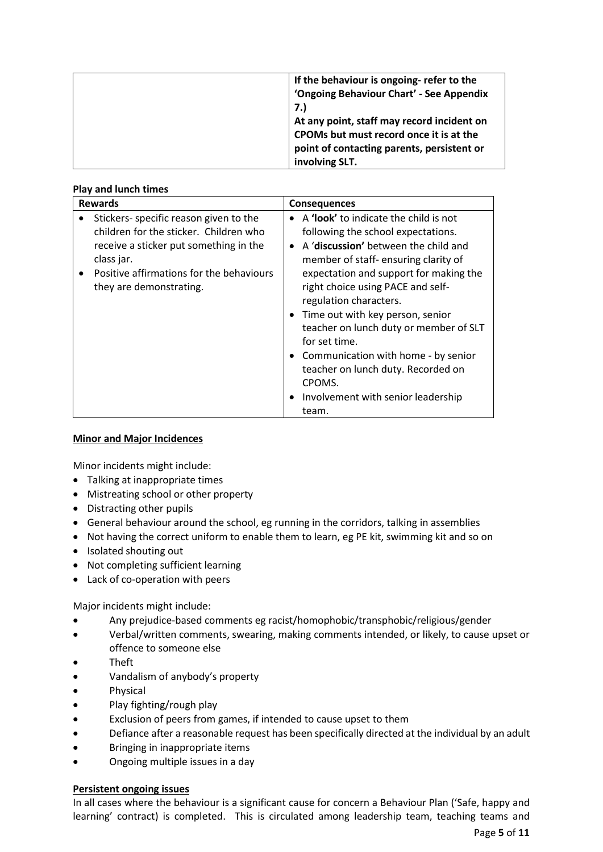| If the behaviour is ongoing- refer to the  |
|--------------------------------------------|
| 'Ongoing Behaviour Chart' - See Appendix   |
| 7.)                                        |
| At any point, staff may record incident on |
| CPOMs but must record once it is at the    |
| point of contacting parents, persistent or |
| involving SLT.                             |

## **Play and lunch times**

| <b>Rewards</b>                                        | <b>Consequences</b>                          |
|-------------------------------------------------------|----------------------------------------------|
| Stickers- specific reason given to the                | A <b>'look'</b> to indicate the child is not |
| children for the sticker. Children who                | following the school expectations.           |
| receive a sticker put something in the                | A 'discussion' between the child and         |
| class jar.                                            | member of staff-ensuring clarity of          |
| Positive affirmations for the behaviours<br>$\bullet$ | expectation and support for making the       |
| they are demonstrating.                               | right choice using PACE and self-            |
|                                                       | regulation characters.                       |
|                                                       | Time out with key person, senior             |
|                                                       | teacher on lunch duty or member of SLT       |
|                                                       | for set time.                                |
|                                                       | • Communication with home - by senior        |
|                                                       | teacher on lunch duty. Recorded on           |
|                                                       | CPOMS.                                       |
|                                                       | Involvement with senior leadership           |
|                                                       | team.                                        |

## **Minor and Major Incidences**

Minor incidents might include:

- Talking at inappropriate times
- Mistreating school or other property
- Distracting other pupils
- General behaviour around the school, eg running in the corridors, talking in assemblies
- Not having the correct uniform to enable them to learn, eg PE kit, swimming kit and so on
- Isolated shouting out
- Not completing sufficient learning
- Lack of co-operation with peers

Major incidents might include:

- Any prejudice-based comments eg racist/homophobic/transphobic/religious/gender
- Verbal/written comments, swearing, making comments intended, or likely, to cause upset or offence to someone else
- Theft
- Vandalism of anybody's property
- Physical
- Play fighting/rough play
- Exclusion of peers from games, if intended to cause upset to them
- Defiance after a reasonable request has been specifically directed at the individual by an adult
- Bringing in inappropriate items
- Ongoing multiple issues in a day

## **Persistent ongoing issues**

In all cases where the behaviour is a significant cause for concern a Behaviour Plan ('Safe, happy and learning' contract) is completed. This is circulated among leadership team, teaching teams and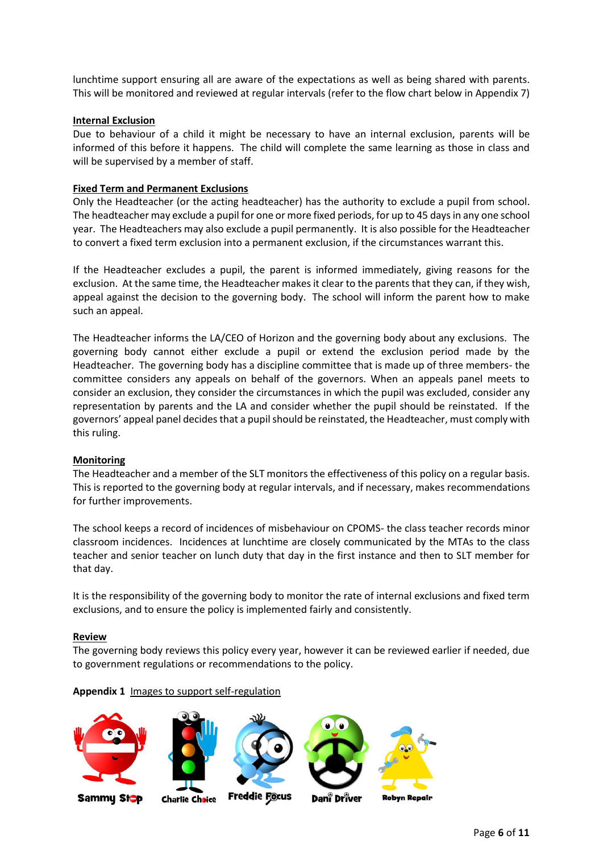lunchtime support ensuring all are aware of the expectations as well as being shared with parents. This will be monitored and reviewed at regular intervals (refer to the flow chart below in Appendix 7)

### **Internal Exclusion**

Due to behaviour of a child it might be necessary to have an internal exclusion, parents will be informed of this before it happens. The child will complete the same learning as those in class and will be supervised by a member of staff.

## **Fixed Term and Permanent Exclusions**

Only the Headteacher (or the acting headteacher) has the authority to exclude a pupil from school. The headteacher may exclude a pupil for one or more fixed periods, for up to 45 days in any one school year. The Headteachers may also exclude a pupil permanently. It is also possible for the Headteacher to convert a fixed term exclusion into a permanent exclusion, if the circumstances warrant this.

If the Headteacher excludes a pupil, the parent is informed immediately, giving reasons for the exclusion. At the same time, the Headteacher makes it clear to the parents that they can, if they wish, appeal against the decision to the governing body. The school will inform the parent how to make such an appeal.

The Headteacher informs the LA/CEO of Horizon and the governing body about any exclusions. The governing body cannot either exclude a pupil or extend the exclusion period made by the Headteacher. The governing body has a discipline committee that is made up of three members- the committee considers any appeals on behalf of the governors. When an appeals panel meets to consider an exclusion, they consider the circumstances in which the pupil was excluded, consider any representation by parents and the LA and consider whether the pupil should be reinstated. If the governors' appeal panel decides that a pupil should be reinstated, the Headteacher, must comply with this ruling.

#### **Monitoring**

The Headteacher and a member of the SLT monitors the effectiveness of this policy on a regular basis. This is reported to the governing body at regular intervals, and if necessary, makes recommendations for further improvements.

The school keeps a record of incidences of misbehaviour on CPOMS- the class teacher records minor classroom incidences. Incidences at lunchtime are closely communicated by the MTAs to the class teacher and senior teacher on lunch duty that day in the first instance and then to SLT member for that day.

It is the responsibility of the governing body to monitor the rate of internal exclusions and fixed term exclusions, and to ensure the policy is implemented fairly and consistently.

#### **Review**

The governing body reviews this policy every year, however it can be reviewed earlier if needed, due to government regulations or recommendations to the policy.

#### **Appendix 1** Images to support self-regulation





**Charlie Choice** 







Sammy St<mark>o</mark>p

**Freddie Focus** 

Dani Driver

**Robyn Repair**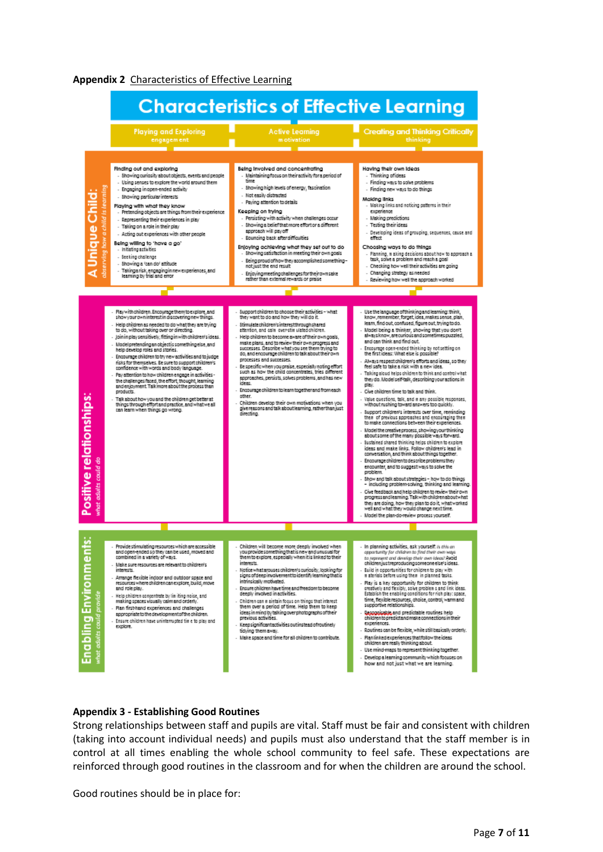



#### **Appendix 3 - Establishing Good Routines**

Strong relationships between staff and pupils are vital. Staff must be fair and consistent with children (taking into account individual needs) and pupils must also understand that the staff member is in control at all times enabling the whole school community to feel safe. These expectations are reinforced through good routines in the classroom and for when the children are around the school.

Good routines should be in place for: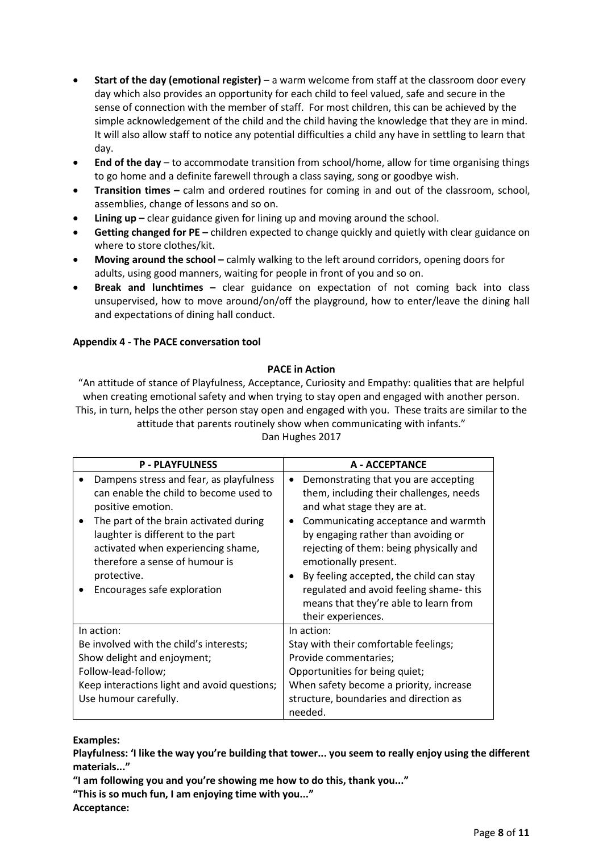- **Start of the day (emotional register)**  a warm welcome from staff at the classroom door every day which also provides an opportunity for each child to feel valued, safe and secure in the sense of connection with the member of staff. For most children, this can be achieved by the simple acknowledgement of the child and the child having the knowledge that they are in mind. It will also allow staff to notice any potential difficulties a child any have in settling to learn that day.
- **End of the day** to accommodate transition from school/home, allow for time organising things to go home and a definite farewell through a class saying, song or goodbye wish.
- **Transition times –** calm and ordered routines for coming in and out of the classroom, school, assemblies, change of lessons and so on.
- **Lining up** clear guidance given for lining up and moving around the school.
- **Getting changed for PE –** children expected to change quickly and quietly with clear guidance on where to store clothes/kit.
- **Moving around the school –** calmly walking to the left around corridors, opening doors for adults, using good manners, waiting for people in front of you and so on.
- **Break and lunchtimes –** clear guidance on expectation of not coming back into class unsupervised, how to move around/on/off the playground, how to enter/leave the dining hall and expectations of dining hall conduct.

# **Appendix 4 - The PACE conversation tool**

## **PACE in Action**

"An attitude of stance of Playfulness, Acceptance, Curiosity and Empathy: qualities that are helpful when creating emotional safety and when trying to stay open and engaged with another person. This, in turn, helps the other person stay open and engaged with you. These traits are similar to the attitude that parents routinely show when communicating with infants."

| <b>P-PLAYFULNESS</b>                                                                                                                                                                                           | A - ACCEPTANCE                                                                                                                                                                                                                                                                                    |
|----------------------------------------------------------------------------------------------------------------------------------------------------------------------------------------------------------------|---------------------------------------------------------------------------------------------------------------------------------------------------------------------------------------------------------------------------------------------------------------------------------------------------|
| Dampens stress and fear, as playfulness<br>can enable the child to become used to<br>positive emotion.                                                                                                         | Demonstrating that you are accepting<br>$\bullet$<br>them, including their challenges, needs<br>and what stage they are at.                                                                                                                                                                       |
| The part of the brain activated during<br>$\bullet$<br>laughter is different to the part<br>activated when experiencing shame,<br>therefore a sense of humour is<br>protective.<br>Encourages safe exploration | Communicating acceptance and warmth<br>by engaging rather than avoiding or<br>rejecting of them: being physically and<br>emotionally present.<br>By feeling accepted, the child can stay<br>regulated and avoid feeling shame-this<br>means that they're able to learn from<br>their experiences. |
| In action:                                                                                                                                                                                                     | In action:                                                                                                                                                                                                                                                                                        |
| Be involved with the child's interests;                                                                                                                                                                        | Stay with their comfortable feelings;                                                                                                                                                                                                                                                             |
| Show delight and enjoyment;                                                                                                                                                                                    | Provide commentaries;                                                                                                                                                                                                                                                                             |
| Follow-lead-follow;                                                                                                                                                                                            | Opportunities for being quiet;                                                                                                                                                                                                                                                                    |
| Keep interactions light and avoid questions;                                                                                                                                                                   | When safety become a priority, increase                                                                                                                                                                                                                                                           |
| Use humour carefully.                                                                                                                                                                                          | structure, boundaries and direction as<br>needed.                                                                                                                                                                                                                                                 |

# Dan Hughes 2017

## **Examples:**

**Playfulness: 'I like the way you're building that tower... you seem to really enjoy using the different materials..."**

**"I am following you and you're showing me how to do this, thank you..."**

**"This is so much fun, I am enjoying time with you..."**

**Acceptance:**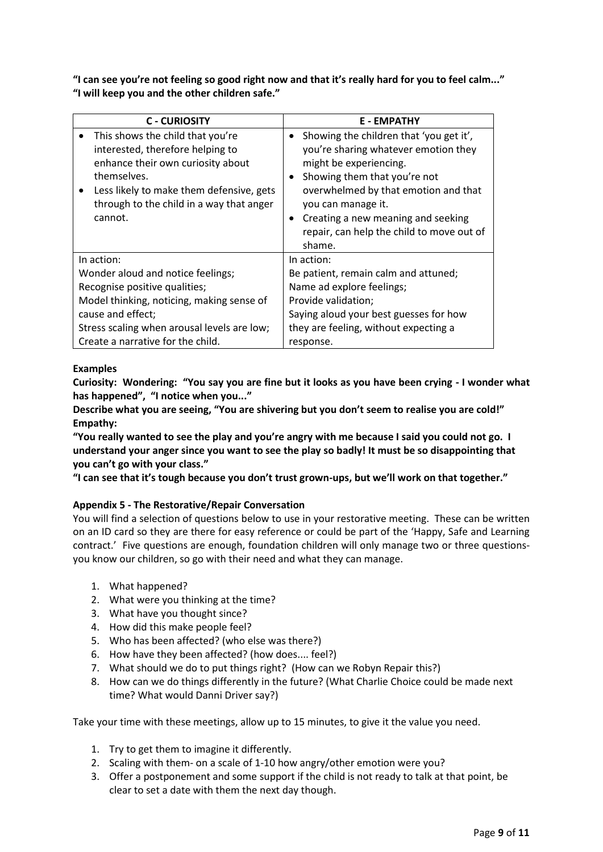**"I can see you're not feeling so good right now and that it's really hard for you to feel calm..." "I will keep you and the other children safe."**

| <b>C-CURIOSITY</b>                                                                                                                                                                                                                       | <b>E-EMPATHY</b>                                                                                                                                                                                                                                                                                                  |
|------------------------------------------------------------------------------------------------------------------------------------------------------------------------------------------------------------------------------------------|-------------------------------------------------------------------------------------------------------------------------------------------------------------------------------------------------------------------------------------------------------------------------------------------------------------------|
| This shows the child that you're<br>$\bullet$<br>interested, therefore helping to<br>enhance their own curiosity about<br>themselves.<br>Less likely to make them defensive, gets<br>through to the child in a way that anger<br>cannot. | Showing the children that 'you get it',<br>$\bullet$<br>you're sharing whatever emotion they<br>might be experiencing.<br>Showing them that you're not<br>overwhelmed by that emotion and that<br>you can manage it.<br>Creating a new meaning and seeking<br>repair, can help the child to move out of<br>shame. |
| In action:                                                                                                                                                                                                                               | In action:                                                                                                                                                                                                                                                                                                        |
| Wonder aloud and notice feelings;                                                                                                                                                                                                        | Be patient, remain calm and attuned;                                                                                                                                                                                                                                                                              |
| Recognise positive qualities;                                                                                                                                                                                                            | Name ad explore feelings;                                                                                                                                                                                                                                                                                         |
| Model thinking, noticing, making sense of                                                                                                                                                                                                | Provide validation;                                                                                                                                                                                                                                                                                               |
| cause and effect;                                                                                                                                                                                                                        | Saying aloud your best guesses for how                                                                                                                                                                                                                                                                            |
| Stress scaling when arousal levels are low;                                                                                                                                                                                              | they are feeling, without expecting a                                                                                                                                                                                                                                                                             |
| Create a narrative for the child.                                                                                                                                                                                                        | response.                                                                                                                                                                                                                                                                                                         |

# **Examples**

**Curiosity: Wondering: "You say you are fine but it looks as you have been crying - I wonder what has happened", "I notice when you..."**

**Describe what you are seeing, "You are shivering but you don't seem to realise you are cold!" Empathy:**

**"You really wanted to see the play and you're angry with me because I said you could not go. I understand your anger since you want to see the play so badly! It must be so disappointing that you can't go with your class."**

**"I can see that it's tough because you don't trust grown-ups, but we'll work on that together."**

# **Appendix 5 - The Restorative/Repair Conversation**

You will find a selection of questions below to use in your restorative meeting. These can be written on an ID card so they are there for easy reference or could be part of the 'Happy, Safe and Learning contract.' Five questions are enough, foundation children will only manage two or three questionsyou know our children, so go with their need and what they can manage.

- 1. What happened?
- 2. What were you thinking at the time?
- 3. What have you thought since?
- 4. How did this make people feel?
- 5. Who has been affected? (who else was there?)
- 6. How have they been affected? (how does.... feel?)
- 7. What should we do to put things right? (How can we Robyn Repair this?)
- 8. How can we do things differently in the future? (What Charlie Choice could be made next time? What would Danni Driver say?)

Take your time with these meetings, allow up to 15 minutes, to give it the value you need.

- 1. Try to get them to imagine it differently.
- 2. Scaling with them- on a scale of 1-10 how angry/other emotion were you?
- 3. Offer a postponement and some support if the child is not ready to talk at that point, be clear to set a date with them the next day though.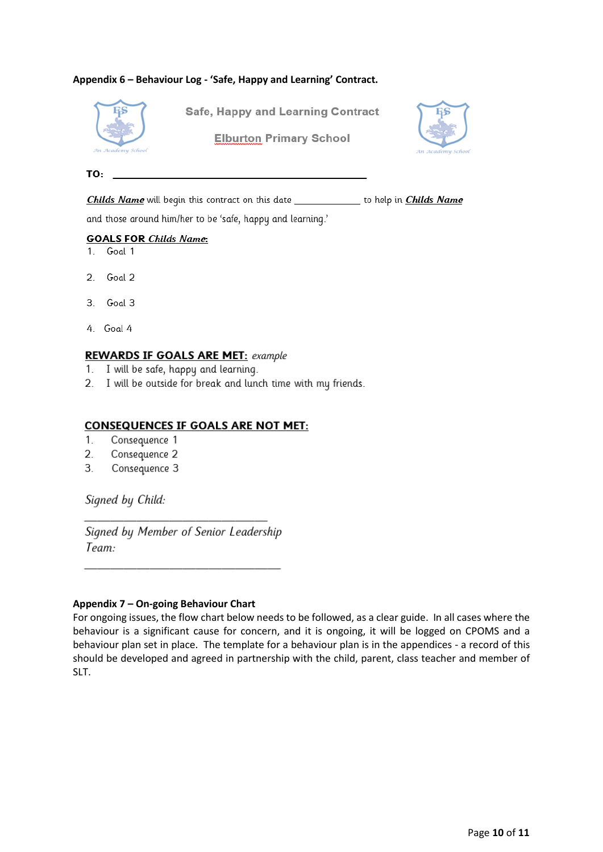## **Appendix 6 – Behaviour Log - 'Safe, Happy and Learning' Contract.**



**Safe, Happy and Learning Contract** 

**Elburton Primary School** 



#### TO:

Childs Name will begin this contract on this date \_\_\_\_\_\_\_\_\_\_\_\_\_ to help in Childs Name

and those around him/her to be 'safe, happy and learning.'

## **GOALS FOR Childs Name:**

- 1. Goal 1
- $\mathcal{P}$ Goal 2
- $3<sup>1</sup>$ Goal 3
- 4. Goal 4

## **REWARDS IF GOALS ARE MET: example**

- 1. I will be safe, happy and learning.
- 2. I will be outside for break and lunch time with my friends.

## **CONSEQUENCES IF GOALS ARE NOT MET:**

- $1<sup>1</sup>$ Consequence 1
- $\overline{2}$ . Consequence 2
- 3. Consequence 3

Signed by Child:

Signed by Member of Senior Leadership Team:

## **Appendix 7 – On-going Behaviour Chart**

For ongoing issues, the flow chart below needs to be followed, as a clear guide. In all cases where the behaviour is a significant cause for concern, and it is ongoing, it will be logged on CPOMS and a behaviour plan set in place. The template for a behaviour plan is in the appendices - a record of this should be developed and agreed in partnership with the child, parent, class teacher and member of SLT.